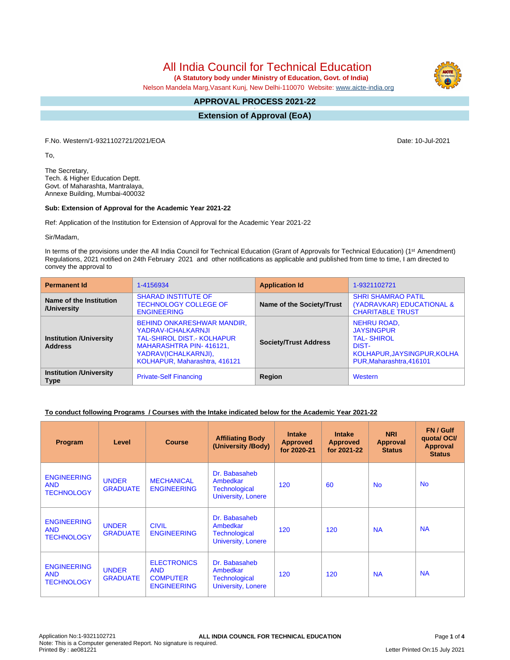All India Council for Technical Education

 **(A Statutory body under Ministry of Education, Govt. of India)**

Nelson Mandela Marg,Vasant Kunj, New Delhi-110070 Website: [www.aicte-india.org](http://www.aicte-india.org)

#### **APPROVAL PROCESS 2021-22 -**

**Extension of Approval (EoA)**

F.No. Western/1-9321102721/2021/EOA Date: 10-Jul-2021

To,

The Secretary, Tech. & Higher Education Deptt. Govt. of Maharashta, Mantralaya, Annexe Building, Mumbai-400032

# **Sub: Extension of Approval for the Academic Year 2021-22**

Ref: Application of the Institution for Extension of Approval for the Academic Year 2021-22

Sir/Madam,

In terms of the provisions under the All India Council for Technical Education (Grant of Approvals for Technical Education) (1st Amendment) Regulations, 2021 notified on 24th February 2021 and other notifications as applicable and published from time to time, I am directed to convey the approval to

| <b>Permanent Id</b>                              | 1-4156934                                                                                                                                                                        | <b>Application Id</b>        | 1-9321102721                                                                                                                     |
|--------------------------------------------------|----------------------------------------------------------------------------------------------------------------------------------------------------------------------------------|------------------------------|----------------------------------------------------------------------------------------------------------------------------------|
| Name of the Institution<br>/University           | <b>SHARAD INSTITUTE OF</b><br><b>TECHNOLOGY COLLEGE OF</b><br><b>ENGINEERING</b>                                                                                                 | Name of the Society/Trust    | <b>SHRI SHAMRAO PATIL</b><br>(YADRAVKAR) EDUCATIONAL &<br><b>CHARITABLE TRUST</b>                                                |
| <b>Institution /University</b><br><b>Address</b> | <b>BEHIND ONKARESHWAR MANDIR,</b><br>YADRAV-ICHALKARNJI<br><b>TAL-SHIROL DIST.- KOLHAPUR</b><br>MAHARASHTRA PIN-416121,<br>YADRAV(ICHALKARNJI),<br>KOLHAPUR, Maharashtra, 416121 | <b>Society/Trust Address</b> | <b>NEHRU ROAD,</b><br><b>JAYSINGPUR</b><br><b>TAL-SHIROL</b><br>DIST-<br>KOLHAPUR, JAYSINGPUR, KOLHA<br>PUR, Maharashtra, 416101 |
| <b>Institution /University</b><br><b>Type</b>    | <b>Private-Self Financing</b>                                                                                                                                                    | Region                       | Western                                                                                                                          |

# **To conduct following Programs / Courses with the Intake indicated below for the Academic Year 2021-22**

| Program                                               | Level                           | <b>Course</b>                                                             | <b>Affiliating Body</b><br>(University /Body)                           | <b>Intake</b><br><b>Approved</b><br>for 2020-21 | <b>Intake</b><br><b>Approved</b><br>for 2021-22 | <b>NRI</b><br>Approval<br><b>Status</b> | FN / Gulf<br>quotal OCI/<br><b>Approval</b><br><b>Status</b> |
|-------------------------------------------------------|---------------------------------|---------------------------------------------------------------------------|-------------------------------------------------------------------------|-------------------------------------------------|-------------------------------------------------|-----------------------------------------|--------------------------------------------------------------|
| <b>ENGINEERING</b><br><b>AND</b><br><b>TECHNOLOGY</b> | <b>UNDER</b><br><b>GRADUATE</b> | <b>MECHANICAL</b><br><b>ENGINEERING</b>                                   | Dr. Babasaheb<br>Ambedkar<br>Technological<br><b>University, Lonere</b> | 120                                             | 60                                              | <b>No</b>                               | <b>No</b>                                                    |
| <b>ENGINEERING</b><br><b>AND</b><br><b>TECHNOLOGY</b> | <b>UNDER</b><br><b>GRADUATE</b> | <b>CIVIL</b><br><b>ENGINEERING</b>                                        | Dr. Babasaheb<br>Ambedkar<br><b>Technological</b><br>University, Lonere | 120                                             | 120                                             | <b>NA</b>                               | <b>NA</b>                                                    |
| <b>ENGINEERING</b><br><b>AND</b><br><b>TECHNOLOGY</b> | <b>UNDER</b><br><b>GRADUATE</b> | <b>ELECTRONICS</b><br><b>AND</b><br><b>COMPUTER</b><br><b>ENGINEERING</b> | Dr. Babasaheb<br>Ambedkar<br><b>Technological</b><br>University, Lonere | 120                                             | 120                                             | <b>NA</b>                               | <b>NA</b>                                                    |

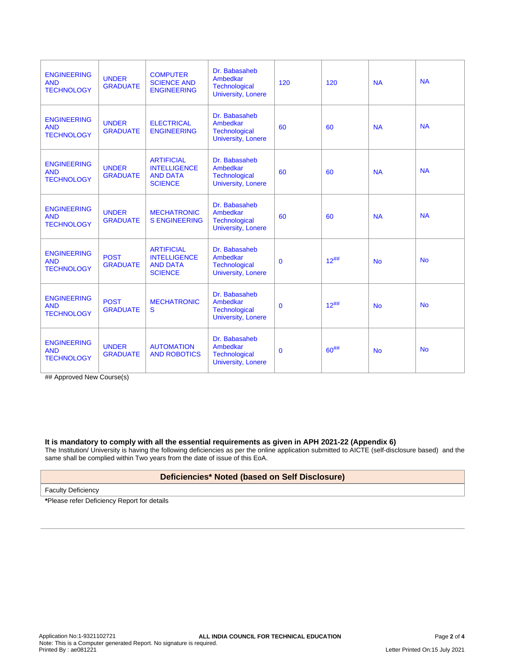| <b>ENGINEERING</b><br><b>AND</b><br><b>TECHNOLOGY</b> | <b>UNDER</b><br><b>GRADUATE</b> | <b>COMPUTER</b><br><b>SCIENCE AND</b><br><b>ENGINEERING</b>                   | Dr. Babasaheb<br>Ambedkar<br><b>Technological</b><br><b>University, Lonere</b> | 120         | 120       | <b>NA</b> | <b>NA</b> |
|-------------------------------------------------------|---------------------------------|-------------------------------------------------------------------------------|--------------------------------------------------------------------------------|-------------|-----------|-----------|-----------|
| <b>ENGINEERING</b><br><b>AND</b><br><b>TECHNOLOGY</b> | <b>UNDER</b><br><b>GRADUATE</b> | <b>ELECTRICAL</b><br><b>ENGINEERING</b>                                       | Dr. Babasaheb<br>Ambedkar<br><b>Technological</b><br><b>University, Lonere</b> | 60          | 60        | <b>NA</b> | <b>NA</b> |
| <b>ENGINEERING</b><br><b>AND</b><br><b>TECHNOLOGY</b> | <b>UNDER</b><br><b>GRADUATE</b> | <b>ARTIFICIAL</b><br><b>INTELLIGENCE</b><br><b>AND DATA</b><br><b>SCIENCE</b> | Dr. Babasaheb<br>Ambedkar<br><b>Technological</b><br><b>University, Lonere</b> | 60          | 60        | <b>NA</b> | <b>NA</b> |
| <b>ENGINEERING</b><br><b>AND</b><br><b>TECHNOLOGY</b> | <b>UNDER</b><br><b>GRADUATE</b> | <b>MECHATRONIC</b><br><b>S ENGINEERING</b>                                    | Dr. Babasaheb<br>Ambedkar<br><b>Technological</b><br><b>University, Lonere</b> | 60          | 60        | <b>NA</b> | <b>NA</b> |
| <b>ENGINEERING</b><br><b>AND</b><br><b>TECHNOLOGY</b> | <b>POST</b><br><b>GRADUATE</b>  | <b>ARTIFICIAL</b><br><b>INTELLIGENCE</b><br><b>AND DATA</b><br><b>SCIENCE</b> | Dr. Babasaheb<br>Ambedkar<br><b>Technological</b><br><b>University, Lonere</b> | $\mathbf 0$ | $12^{##}$ | <b>No</b> | <b>No</b> |
| <b>ENGINEERING</b><br><b>AND</b><br><b>TECHNOLOGY</b> | <b>POST</b><br><b>GRADUATE</b>  | <b>MECHATRONIC</b><br>S                                                       | Dr. Babasaheb<br>Ambedkar<br>Technological<br><b>University, Lonere</b>        | $\mathbf 0$ | $12^{##}$ | <b>No</b> | <b>No</b> |
| <b>ENGINEERING</b><br><b>AND</b><br><b>TECHNOLOGY</b> | <b>UNDER</b><br><b>GRADUATE</b> | <b>AUTOMATION</b><br><b>AND ROBOTICS</b>                                      | Dr. Babasaheb<br>Ambedkar<br><b>Technological</b><br><b>University, Lonere</b> | $\mathbf 0$ | $60^{#}$  | <b>No</b> | <b>No</b> |

## Approved New Course(s)

#### **It is mandatory to comply with all the essential requirements as given in APH 2021-22 (Appendix 6)**

The Institution/ University is having the following deficiencies as per the online application submitted to AICTE (self-disclosure based) and the same shall be complied within Two years from the date of issue of this EoA.

# **Deficiencies\* Noted (based on Self Disclosure)**

Faculty Deficiency

**\***Please refer Deficiency Report for details